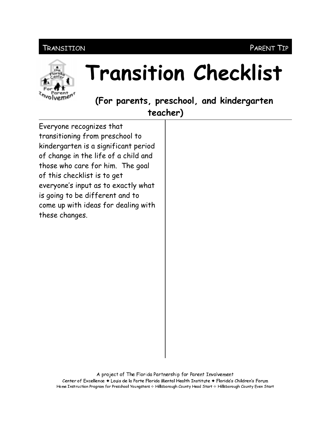# TRANSITION



# **Transition Checklist**

(For parents, preschool, and kindergarten

teacher)

Everyone recognizes that transitioning from preschool to kindergarten is a significant period of change in the life of a child and those who care for him. The goal of this checklist is to get everyone's input as to exactly what is going to be different and to come up with ideas for dealing with these changes.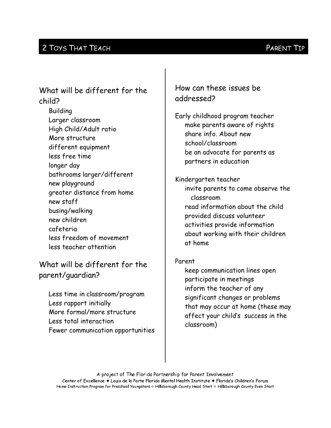### 2 TOYS THAT TEACH

# What will be different for the child?

**Building** Larger classroom High Child/Adult ratio More structure different equipment less free time longer day bathrooms larger/different new playground greater distance from home new staff busing/walking new children cafeteria less freedom of movement less teacher attention

What will be different for the parent/guardian?

Less time in classroom/program Less rapport initially More formal/more structure Less total interaction Fewer communication opportunities How can these issues be addressed?

Early childhood program teacher make parents aware of rights share info. About new school/classroom be an advocate for parents as partners in education

Kindergarten teacher invite parents to come observe the classroom read information about the child provided discuss volunteer activities provide information about working with their children at home

#### Parent

keep communication lines open participate in meetings inform the teacher of any significant changes or problems that may occur at home (these may affect your child's success in the classroom)

A project of The Florida Partnership for Parent Involvement Center of Excellence ♦ Louis de la Parte Florida Mental Health Institute ♦ Florida's Children's Forum Home Instruction Program for Preschool Youngsters & Hillsborough County Head Start & Hillsborough County Even Start